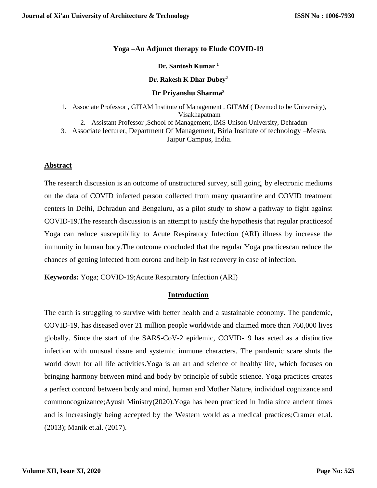# **Yoga –An Adjunct therapy to Elude COVID-19**

#### **Dr. Santosh Kumar <sup>1</sup>**

#### **Dr. Rakesh K Dhar Dubey<sup>2</sup>**

# **Dr Priyanshu Sharma<sup>3</sup>**

- 1. Associate Professor , GITAM Institute of Management , GITAM ( Deemed to be University), Visakhapatnam 2. Assistant Professor ,School of Management, IMS Unison University, Dehradun
- 3. Associate lecturer, Department Of Management, Birla Institute of technology –Mesra, Jaipur Campus, India.

# **Abstract**

The research discussion is an outcome of unstructured survey, still going, by electronic mediums on the data of COVID infected person collected from many quarantine and COVID treatment centers in Delhi, Dehradun and Bengaluru, as a pilot study to show a pathway to fight against COVID-19.The research discussion is an attempt to justify the hypothesis that regular practicesof Yoga can reduce susceptibility to Acute Respiratory Infection (ARI) illness by increase the immunity in human body.The outcome concluded that the regular Yoga practicescan reduce the chances of getting infected from corona and help in fast recovery in case of infection.

**Keywords:** Yoga; COVID-19;Acute Respiratory Infection (ARI)

#### **Introduction**

The earth is struggling to survive with better health and a sustainable economy. The pandemic, COVID-19, has diseased over 21 million people worldwide and claimed more than 760,000 lives globally. Since the start of the SARS-CoV-2 epidemic, COVID-19 has acted as a distinctive infection with unusual tissue and systemic immune characters. The pandemic scare shuts the world down for all life activities.Yoga is an art and science of healthy life, which focuses on bringing harmony between mind and body by principle of subtle science. Yoga practices creates a perfect concord between body and mind, human and Mother Nature, individual cognizance and commoncognizance;Ayush Ministry(2020).Yoga has been practiced in India since ancient times and is increasingly being accepted by the Western world as a medical practices;Cramer et.al. (2013); Manik et.al. (2017).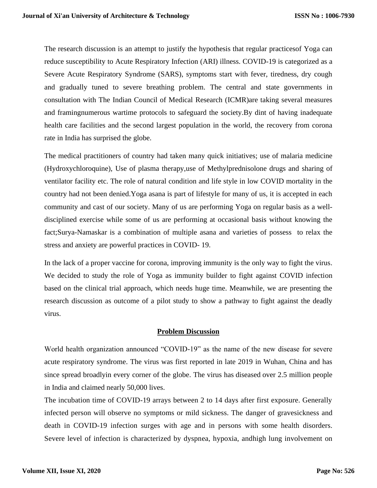The research discussion is an attempt to justify the hypothesis that regular practicesof Yoga can reduce susceptibility to Acute Respiratory Infection (ARI) illness. COVID-19 is categorized as a Severe Acute Respiratory Syndrome (SARS), symptoms start with fever, tiredness, dry cough and gradually tuned to severe breathing problem. The central and state governments in consultation with The Indian Council of Medical Research (ICMR)are taking several measures and framingnumerous wartime protocols to safeguard the society.By dint of having inadequate health care facilities and the second largest population in the world, the recovery from corona rate in India has surprised the globe.

The medical practitioners of country had taken many quick initiatives; use of malaria medicine (Hydroxychloroquine), Use of plasma therapy,use of Methylprednisolone drugs and sharing of ventilator facility etc. The role of natural condition and life style in low COVID mortality in the country had not been denied.Yoga asana is part of lifestyle for many of us, it is accepted in each community and cast of our society. Many of us are performing Yoga on regular basis as a welldisciplined exercise while some of us are performing at occasional basis without knowing the fact;Surya-Namaskar is a combination of multiple asana and varieties of possess to relax the stress and anxiety are powerful practices in COVID- 19.

In the lack of a proper vaccine for corona, improving immunity is the only way to fight the virus. We decided to study the role of Yoga as immunity builder to fight against COVID infection based on the clinical trial approach, which needs huge time. Meanwhile, we are presenting the research discussion as outcome of a pilot study to show a pathway to fight against the deadly virus.

#### **Problem Discussion**

World health organization announced "COVID-19" as the name of the new disease for severe acute respiratory syndrome. The virus was first reported in late 2019 in Wuhan, China and has since spread broadlyin every corner of the globe. The virus has diseased over 2.5 million people in India and claimed nearly 50,000 lives.

The incubation time of COVID-19 arrays between 2 to 14 days after first exposure. Generally infected person will observe no symptoms or mild sickness. The danger of gravesickness and death in COVID-19 infection surges with age and in persons with some health disorders. Severe level of infection is characterized by dyspnea, hypoxia, andhigh lung involvement on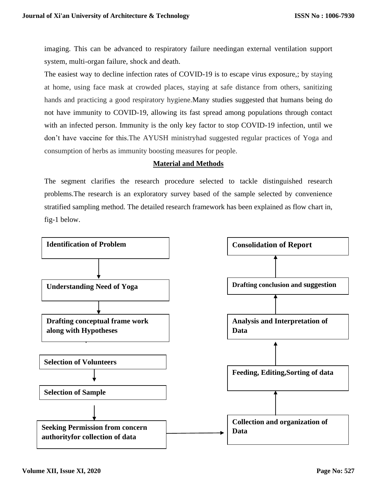imaging. This can be advanced to respiratory failure needingan external ventilation support system, multi-organ failure, shock and death.

The easiest way to decline infection rates of COVID-19 is to escape virus exposure,; by staying at home, using face mask at crowded places, staying at safe distance from others, sanitizing hands and practicing a good respiratory hygiene.Many studies suggested that humans being do not have immunity to COVID-19, allowing its fast spread among populations through contact with an infected person. Immunity is the only key factor to stop COVID-19 infection, until we don't have vaccine for this.The AYUSH ministryhad suggested regular practices of Yoga and consumption of herbs as immunity boosting measures for people.

# **Material and Methods**

The segment clarifies the research procedure selected to tackle distinguished research problems.The research is an exploratory survey based of the sample selected by convenience stratified sampling method. The detailed research framework has been explained as flow chart in, fig-1 below.

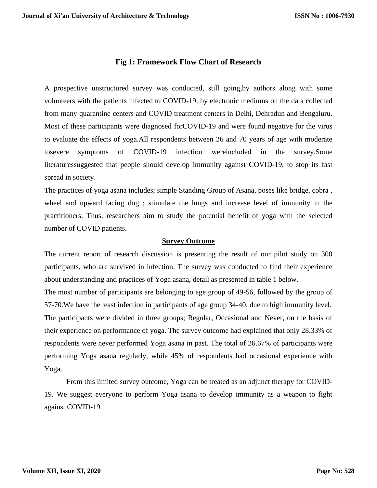# **Fig 1: Framework Flow Chart of Research**

A prospective unstructured survey was conducted, still going,by authors along with some volunteers with the patients infected to COVID-19, by electronic mediums on the data collected from many quarantine centers and COVID treatment centers in Delhi, Dehradun and Bengaluru. Most of these participants were diagnosed forCOVID-19 and were found negative for the virus to evaluate the effects of yoga.All respondents between 26 and 70 years of age with moderate tosevere symptoms of COVID-19 infection wereincluded in the survey.Some literaturessuggested that people should develop immunity against COVID-19, to stop its fast spread in society.

The practices of yoga asana includes; simple Standing Group of Asana, poses like bridge, cobra , wheel and upward facing dog ; stimulate the lungs and increase level of immunity in the practitioners. Thus, researchers aim to study the potential benefit of yoga with the selected number of COVID patients.

# **Survey Outcome**

The current report of research discussion is presenting the result of our pilot study on 300 participants, who are survived in infection. The survey was conducted to find their experience about understanding and practices of Yoga asana, detail as presented in table 1 below.

The most number of participants are belonging to age group of 49-56, followed by the group of 57-70.We have the least infection in participants of age group 34-40, due to high immunity level. The participants were divided in three groups; Regular, Occasional and Never, on the basis of their experience on performance of yoga. The survey outcome had explained that only 28.33% of respondents were never performed Yoga asana in past. The total of 26.67% of participants were performing Yoga asana regularly, while 45% of respondents had occasional experience with Yoga.

From this limited survey outcome, Yoga can be treated as an adjunct therapy for COVID-19. We suggest everyone to perform Yoga asana to develop immunity as a weapon to fight against COVID-19.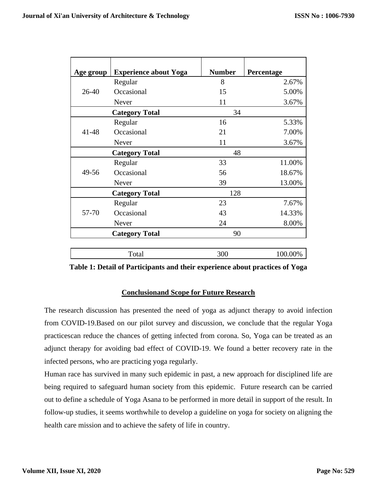|                       | <b>Experience about Yoga</b> | <b>Number</b> | Percentage |
|-----------------------|------------------------------|---------------|------------|
| Age group             |                              |               |            |
| 26-40                 | Regular                      | 8             | 2.67%      |
|                       | Occasional                   | 15            | 5.00%      |
|                       | Never                        | 11            | 3.67%      |
| <b>Category Total</b> |                              | 34            |            |
| 41-48                 | Regular                      | 16            | 5.33%      |
|                       | Occasional                   | 21            | 7.00%      |
|                       | Never                        | 11            | 3.67%      |
| <b>Category Total</b> |                              | 48            |            |
| 49-56                 | Regular                      | 33            | 11.00%     |
|                       | Occasional                   | 56            | 18.67%     |
|                       | Never                        | 39            | 13.00%     |
|                       | <b>Category Total</b>        | 128           |            |
| 57-70                 | Regular                      | 23            | 7.67%      |
|                       | Occasional                   | 43            | 14.33%     |
|                       | Never                        | 24            | 8.00%      |
| <b>Category Total</b> |                              | 90            |            |
|                       |                              |               |            |
| Total                 |                              | 300           | 100.00%    |

**Table 1: Detail of Participants and their experience about practices of Yoga**

# **Conclusionand Scope for Future Research**

The research discussion has presented the need of yoga as adjunct therapy to avoid infection from COVID-19.Based on our pilot survey and discussion, we conclude that the regular Yoga practicescan reduce the chances of getting infected from corona. So, Yoga can be treated as an adjunct therapy for avoiding bad effect of COVID-19. We found a better recovery rate in the infected persons, who are practicing yoga regularly.

Human race has survived in many such epidemic in past, a new approach for disciplined life are being required to safeguard human society from this epidemic. Future research can be carried out to define a schedule of Yoga Asana to be performed in more detail in support of the result. In follow-up studies, it seems worthwhile to develop a guideline on yoga for society on aligning the health care mission and to achieve the safety of life in country.